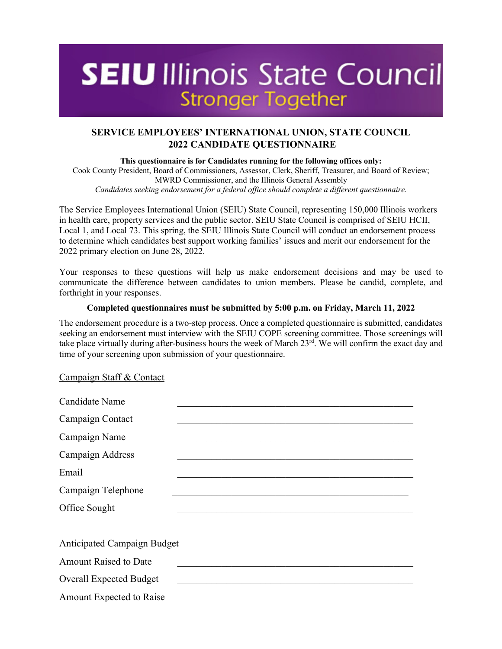# **SEIU** Illinois State Council **Stronger Together**

# **SERVICE EMPLOYEES' INTERNATIONAL UNION, STATE COUNCIL 2022 CANDIDATE QUESTIONNAIRE**

**This questionnaire is for Candidates running for the following offices only:**  Cook County President, Board of Commissioners, Assessor, Clerk, Sheriff, Treasurer, and Board of Review; MWRD Commissioner, and the Illinois General Assembly *Candidates seeking endorsement for a federal office should complete a different questionnaire.*

The Service Employees International Union (SEIU) State Council, representing 150,000 Illinois workers in health care, property services and the public sector. SEIU State Council is comprised of SEIU HCII, Local 1, and Local 73. This spring, the SEIU Illinois State Council will conduct an endorsement process to determine which candidates best support working families' issues and merit our endorsement for the 2022 primary election on June 28, 2022.

Your responses to these questions will help us make endorsement decisions and may be used to communicate the difference between candidates to union members. Please be candid, complete, and forthright in your responses.

#### **Completed questionnaires must be submitted by 5:00 p.m. on Friday, March 11, 2022**

The endorsement procedure is a two-step process. Once a completed questionnaire is submitted, candidates seeking an endorsement must interview with the SEIU COPE screening committee. Those screenings will take place virtually during after-business hours the week of March 23rd. We will confirm the exact day and time of your screening upon submission of your questionnaire.

## Campaign Staff & Contact

| Candidate Name                     |                                                                                                                       |
|------------------------------------|-----------------------------------------------------------------------------------------------------------------------|
| Campaign Contact                   |                                                                                                                       |
| Campaign Name                      |                                                                                                                       |
| Campaign Address                   |                                                                                                                       |
| Email                              |                                                                                                                       |
| Campaign Telephone                 | <u> 1989 - Johann John Stoff, deutscher Stoffen und der Stoffen und der Stoffen und der Stoffen und der Stoffen u</u> |
| Office Sought                      |                                                                                                                       |
|                                    |                                                                                                                       |
| <b>Anticipated Campaign Budget</b> |                                                                                                                       |
| <b>Amount Raised to Date</b>       |                                                                                                                       |
| <b>Overall Expected Budget</b>     |                                                                                                                       |
| Amount Expected to Raise           |                                                                                                                       |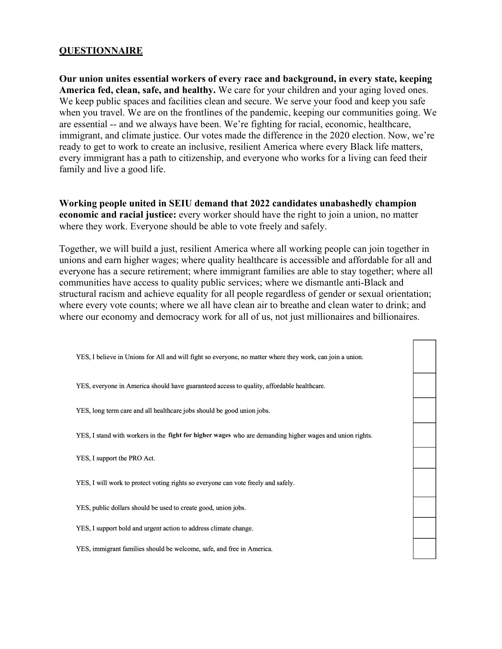# **QUESTIONNAIRE**

**Our union unites essential workers of every race and background, in every state, keeping America fed, clean, safe, and healthy.** We care for your children and your aging loved ones. We keep public spaces and facilities clean and secure. We serve your food and keep you safe when you travel. We are on the frontlines of the pandemic, keeping our communities going. We are essential -- and we always have been. We're fighting for racial, economic, healthcare, immigrant, and climate justice. Our votes made the difference in the 2020 election. Now, we're ready to get to work to create an inclusive, resilient America where every Black life matters, every immigrant has a path to citizenship, and everyone who works for a living can feed their family and live a good life.

**Working people united in SEIU demand that 2022 candidates unabashedly champion economic and racial justice:** every worker should have the right to join a union, no matter where they work. Everyone should be able to vote freely and safely.

Together, we will build a just, resilient America where all working people can join together in unions and earn higher wages; where quality healthcare is accessible and affordable for all and everyone has a secure retirement; where immigrant families are able to stay together; where all communities have access to quality public services; where we dismantle anti-Black and structural racism and achieve equality for all people regardless of gender or sexual orientation; where every vote counts; where we all have clean air to breathe and clean water to drink; and where our economy and democracy work for all of us, not just millionaires and billionaires.

YES, I believe in Unions for All and will fight so everyone, no matter where they work, can join a union. YES, everyone in America should have guaranteed access to quality, affordable healthcare. YES, long term care and all healthcare jobs should be good union jobs. YES, I stand with workers in the fight for higher wages who are demanding higher wages and union rights. YES, I support the PRO Act. YES, I will work to protect voting rights so everyone can vote freely and safely. YES, public dollars should be used to create good, union jobs. YES, I support bold and urgent action to address climate change. YES, immigrant families should be welcome, safe, and free in America.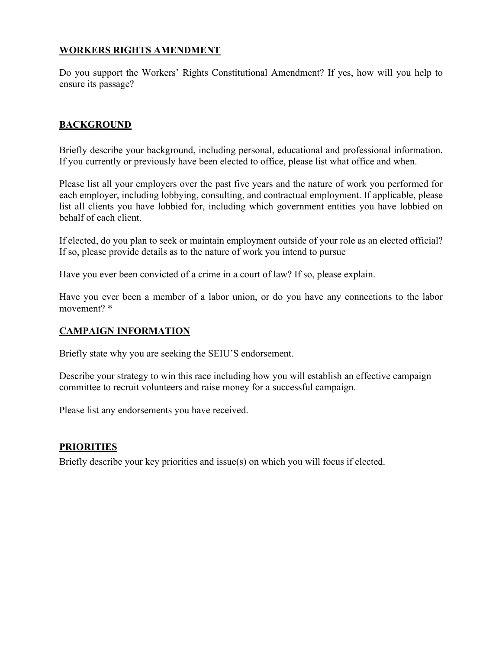# **WORKERS RIGHTS AMENDMENT**

Do you support the Workers' Rights Constitutional Amendment? If yes, how will you help to ensure its passage?

# **BACKGROUND**

Briefly describe your background, including personal, educational and professional information. If you currently or previously have been elected to office, please list what office and when.

Please list all your employers over the past five years and the nature of work you performed for each employer, including lobbying, consulting, and contractual employment. If applicable, please list all clients you have lobbied for, including which government entities you have lobbied on behalf of each client.

If elected, do you plan to seek or maintain employment outside of your role as an elected official? If so, please provide details as to the nature of work you intend to pursue

Have you ever been convicted of a crime in a court of law? If so, please explain.

Have you ever been a member of a labor union, or do you have any connections to the labor movement? \*

# **CAMPAIGN INFORMATION**

Briefly state why you are seeking the SEIU'S endorsement.

Describe your strategy to win this race including how you will establish an effective campaign committee to recruit volunteers and raise money for a successful campaign.

Please list any endorsements you have received.

# **PRIORITIES**

Briefly describe your key priorities and issue(s) on which you will focus if elected.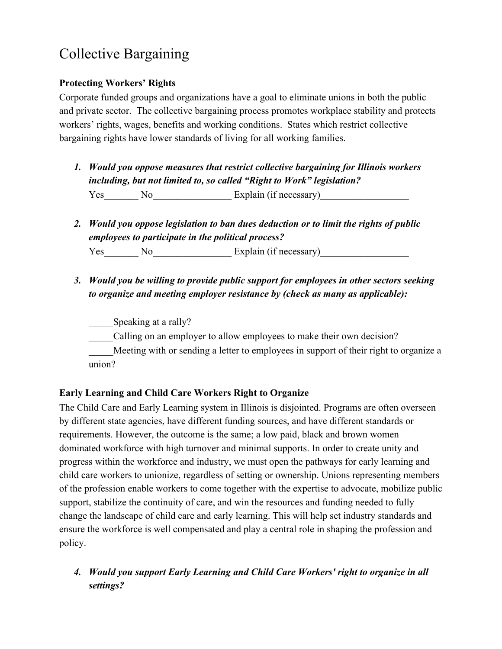# Collective Bargaining

# **Protecting Workers' Rights**

Corporate funded groups and organizations have a goal to eliminate unions in both the public and private sector. The collective bargaining process promotes workplace stability and protects workers' rights, wages, benefits and working conditions. States which restrict collective bargaining rights have lower standards of living for all working families.

- *1. Would you oppose measures that restrict collective bargaining for Illinois workers including, but not limited to, so called "Right to Work" legislation?* Yes No Explain (if necessary)
- *2. Would you oppose legislation to ban dues deduction or to limit the rights of public employees to participate in the political process?* Yes\_\_\_\_\_\_\_ No\_\_\_\_\_\_\_\_\_\_\_\_\_\_\_\_\_\_Explain (if necessary)\_\_\_\_\_\_\_\_\_\_\_\_\_\_\_\_\_\_\_\_\_\_\_\_\_\_\_
- *3. Would you be willing to provide public support for employees in other sectors seeking to organize and meeting employer resistance by (check as many as applicable):*

Speaking at a rally?

Calling on an employer to allow employees to make their own decision?

Meeting with or sending a letter to employees in support of their right to organize a union?

# **Early Learning and Child Care Workers Right to Organize**

The Child Care and Early Learning system in Illinois is disjointed. Programs are often overseen by different state agencies, have different funding sources, and have different standards or requirements. However, the outcome is the same; a low paid, black and brown women dominated workforce with high turnover and minimal supports. In order to create unity and progress within the workforce and industry, we must open the pathways for early learning and child care workers to unionize, regardless of setting or ownership. Unions representing members of the profession enable workers to come together with the expertise to advocate, mobilize public support, stabilize the continuity of care, and win the resources and funding needed to fully change the landscape of child care and early learning. This will help set industry standards and ensure the workforce is well compensated and play a central role in shaping the profession and policy.

*4. Would you support Early Learning and Child Care Workers' right to organize in all settings?*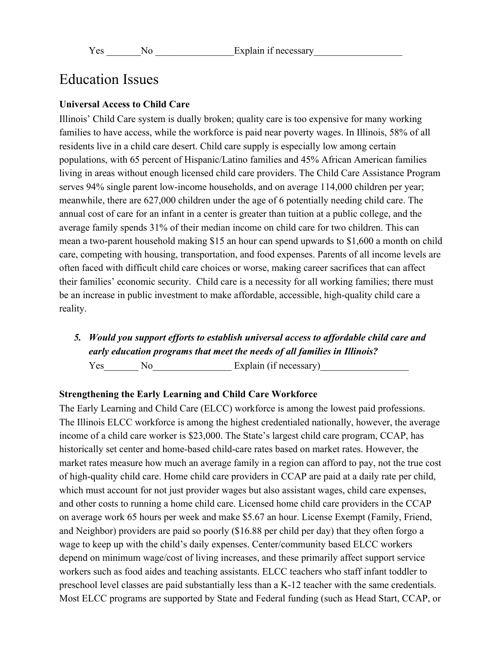# Education Issues

#### **Universal Access to Child Care**

Illinois' Child Care system is dually broken; quality care is too expensive for many working families to have access, while the workforce is paid near poverty wages. In Illinois, 58% of all residents live in a child care desert. Child care supply is especially low among certain populations, with 65 percent of Hispanic/Latino families and 45% African American families living in areas without enough licensed child care providers. The Child Care Assistance Program serves 94% single parent low-income households, and on average 114,000 children per year; meanwhile, there are 627,000 children under the age of 6 potentially needing child care. The annual cost of care for an infant in a center is greater than tuition at a public college, and the average family spends 31% of their median income on child care for two children. This can mean a two-parent household making \$15 an hour can spend upwards to \$1,600 a month on child care, competing with housing, transportation, and food expenses. Parents of all income levels are often faced with difficult child care choices or worse, making career sacrifices that can affect their families' economic security. Child care is a necessity for all working families; there must be an increase in public investment to make affordable, accessible, high-quality child care a reality.

*5. Would you support efforts to establish universal access to affordable child care and early education programs that meet the needs of all families in Illinois?* Yes No Explain (if necessary)

#### **Strengthening the Early Learning and Child Care Workforce**

The Early Learning and Child Care (ELCC) workforce is among the lowest paid professions. The Illinois ELCC workforce is among the highest credentialed nationally, however, the average income of a child care worker is \$23,000. The State's largest child care program, CCAP, has historically set center and home-based child-care rates based on market rates. However, the market rates measure how much an average family in a region can afford to pay, not the true cost of high-quality child care. Home child care providers in CCAP are paid at a daily rate per child, which must account for not just provider wages but also assistant wages, child care expenses, and other costs to running a home child care. Licensed home child care providers in the CCAP on average work 65 hours per week and make \$5.67 an hour. License Exempt (Family, Friend, and Neighbor) providers are paid so poorly (\$16.88 per child per day) that they often forgo a wage to keep up with the child's daily expenses. Center/community based ELCC workers depend on minimum wage/cost of living increases, and these primarily affect support service workers such as food aides and teaching assistants. ELCC teachers who staff infant toddler to preschool level classes are paid substantially less than a K-12 teacher with the same credentials. Most ELCC programs are supported by State and Federal funding (such as Head Start, CCAP, or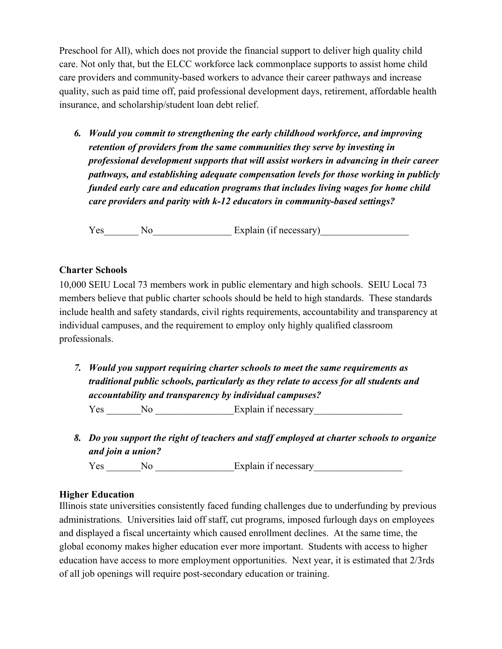Preschool for All), which does not provide the financial support to deliver high quality child care. Not only that, but the ELCC workforce lack commonplace supports to assist home child care providers and community-based workers to advance their career pathways and increase quality, such as paid time off, paid professional development days, retirement, affordable health insurance, and scholarship/student loan debt relief.

*6. Would you commit to strengthening the early childhood workforce, and improving retention of providers from the same communities they serve by investing in professional development supports that will assist workers in advancing in their career pathways, and establishing adequate compensation levels for those working in publicly funded early care and education programs that includes living wages for home child care providers and parity with k-12 educators in community-based settings?*

Yes No Explain (if necessary)

#### **Charter Schools**

10,000 SEIU Local 73 members work in public elementary and high schools. SEIU Local 73 members believe that public charter schools should be held to high standards. These standards include health and safety standards, civil rights requirements, accountability and transparency at individual campuses, and the requirement to employ only highly qualified classroom professionals.

*7. Would you support requiring charter schools to meet the same requirements as traditional public schools, particularly as they relate to access for all students and accountability and transparency by individual campuses?*

Yes \_\_\_\_\_\_\_No \_\_\_\_\_\_\_\_\_\_\_\_\_\_\_\_Explain if necessary\_\_\_\_\_\_\_\_\_\_\_\_\_\_\_\_\_\_\_\_\_\_\_\_\_\_\_\_\_\_

*8. Do you support the right of teachers and staff employed at charter schools to organize and join a union?*

Yes \_\_\_\_\_\_\_No \_\_\_\_\_\_\_\_\_\_\_\_\_\_\_\_Explain if necessary\_\_\_\_\_\_\_\_\_\_\_\_\_\_\_\_\_\_

#### **Higher Education**

Illinois state universities consistently faced funding challenges due to underfunding by previous administrations. Universities laid off staff, cut programs, imposed furlough days on employees and displayed a fiscal uncertainty which caused enrollment declines. At the same time, the global economy makes higher education ever more important. Students with access to higher education have access to more employment opportunities. Next year, it is estimated that 2/3rds of all job openings will require post-secondary education or training.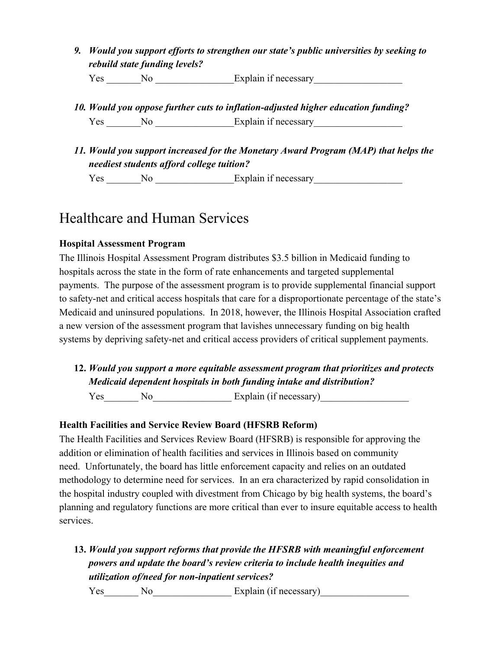*9. Would you support efforts to strengthen our state's public universities by seeking to rebuild state funding levels?*

Yes \_\_\_\_\_\_No \_\_\_\_\_\_\_\_\_\_\_\_\_\_\_\_Explain if necessary\_\_\_\_\_\_\_\_\_\_\_\_\_\_\_\_\_\_\_\_\_\_\_\_\_\_\_\_\_\_\_

- *10. Would you oppose further cuts to inflation-adjusted higher education funding?* Yes No Explain if necessary
- *11. Would you support increased for the Monetary Award Program (MAP) that helps the neediest students afford college tuition?*

Yes \_\_\_\_\_\_No \_\_\_\_\_\_\_\_\_\_\_\_\_\_\_Explain if necessary\_\_\_\_\_\_\_\_\_\_\_\_\_\_\_\_\_\_\_\_\_\_\_\_\_\_\_\_\_\_\_\_

# Healthcare and Human Services

# **Hospital Assessment Program**

The Illinois Hospital Assessment Program distributes \$3.5 billion in Medicaid funding to hospitals across the state in the form of rate enhancements and targeted supplemental payments. The purpose of the assessment program is to provide supplemental financial support to safety-net and critical access hospitals that care for a disproportionate percentage of the state's Medicaid and uninsured populations. In 2018, however, the Illinois Hospital Association crafted a new version of the assessment program that lavishes unnecessary funding on big health systems by depriving safety-net and critical access providers of critical supplement payments.

**12.** *Would you support a more equitable assessment program that prioritizes and protects Medicaid dependent hospitals in both funding intake and distribution?*

Yes No Explain (if necessary)

# **Health Facilities and Service Review Board (HFSRB Reform)**

The Health Facilities and Services Review Board (HFSRB) is responsible for approving the addition or elimination of health facilities and services in Illinois based on community need. Unfortunately, the board has little enforcement capacity and relies on an outdated methodology to determine need for services. In an era characterized by rapid consolidation in the hospital industry coupled with divestment from Chicago by big health systems, the board's planning and regulatory functions are more critical than ever to insure equitable access to health services.

**13.** *Would you support reforms that provide the HFSRB with meaningful enforcement powers and update the board's review criteria to include health inequities and utilization of/need for non-inpatient services?*

Yes\_\_\_\_\_\_\_ No\_\_\_\_\_\_\_\_\_\_\_\_\_\_\_\_\_\_\_Explain (if necessary)\_\_\_\_\_\_\_\_\_\_\_\_\_\_\_\_\_\_\_\_\_\_\_\_\_\_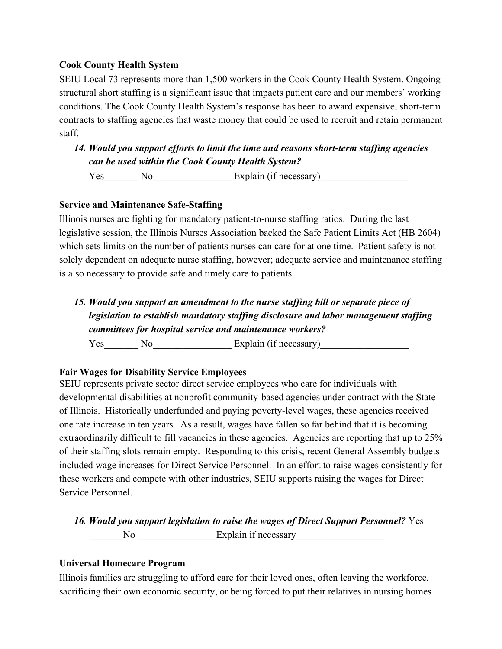# **Cook County Health System**

SEIU Local 73 represents more than 1,500 workers in the Cook County Health System. Ongoing structural short staffing is a significant issue that impacts patient care and our members' working conditions. The Cook County Health System's response has been to award expensive, short-term contracts to staffing agencies that waste money that could be used to recruit and retain permanent staff.

# *14. Would you support efforts to limit the time and reasons short-term staffing agencies can be used within the Cook County Health System?*

Yes\_\_\_\_\_\_\_ No\_\_\_\_\_\_\_\_\_\_\_\_\_\_\_\_\_\_Explain (if necessary)\_\_\_\_\_\_\_\_\_\_\_\_\_\_\_\_\_\_\_\_\_\_\_\_\_\_\_

# **Service and Maintenance Safe-Staffing**

Illinois nurses are fighting for mandatory patient-to-nurse staffing ratios. During the last legislative session, the Illinois Nurses Association backed the Safe Patient Limits Act (HB 2604) which sets limits on the number of patients nurses can care for at one time. Patient safety is not solely dependent on adequate nurse staffing, however; adequate service and maintenance staffing is also necessary to provide safe and timely care to patients.

*15. Would you support an amendment to the nurse staffing bill or separate piece of legislation to establish mandatory staffing disclosure and labor management staffing committees for hospital service and maintenance workers?*

Yes\_\_\_\_\_\_\_ No\_\_\_\_\_\_\_\_\_\_\_\_\_\_\_\_ Explain (if necessary)\_\_\_\_\_\_\_\_\_\_\_\_\_\_\_\_\_\_

# **Fair Wages for Disability Service Employees**

SEIU represents private sector direct service employees who care for individuals with developmental disabilities at nonprofit community-based agencies under contract with the State of Illinois. Historically underfunded and paying poverty-level wages, these agencies received one rate increase in ten years. As a result, wages have fallen so far behind that it is becoming extraordinarily difficult to fill vacancies in these agencies. Agencies are reporting that up to 25% of their staffing slots remain empty. Responding to this crisis, recent General Assembly budgets included wage increases for Direct Service Personnel. In an effort to raise wages consistently for these workers and compete with other industries, SEIU supports raising the wages for Direct Service Personnel.

*16. Would you support legislation to raise the wages of Direct Support Personnel?* Yes No Explain if necessary

## **Universal Homecare Program**

Illinois families are struggling to afford care for their loved ones, often leaving the workforce, sacrificing their own economic security, or being forced to put their relatives in nursing homes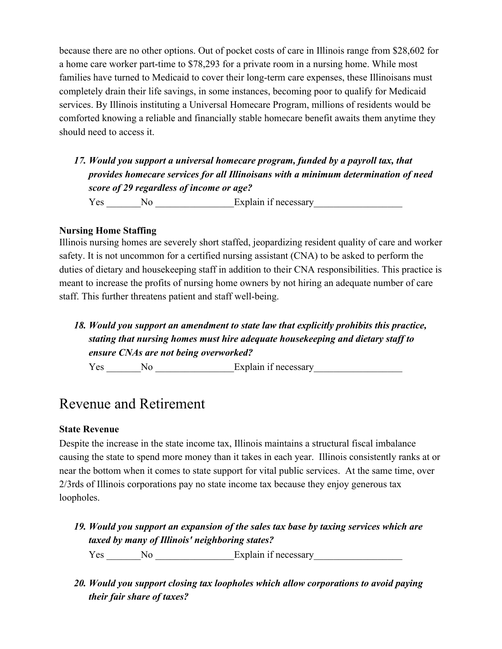because there are no other options. Out of pocket costs of care in Illinois range from \$28,602 for a home care worker part-time to \$78,293 for a private room in a nursing home. While most families have turned to Medicaid to cover their long-term care expenses, these Illinoisans must completely drain their life savings, in some instances, becoming poor to qualify for Medicaid services. By Illinois instituting a Universal Homecare Program, millions of residents would be comforted knowing a reliable and financially stable homecare benefit awaits them anytime they should need to access it.

*17. Would you support a universal homecare program, funded by a payroll tax, that provides homecare services for all Illinoisans with a minimum determination of need score of 29 regardless of income or age?*

Yes \_\_\_\_\_\_No \_\_\_\_\_\_\_\_\_\_\_\_\_\_\_Explain if necessary\_\_\_\_\_\_\_\_\_\_\_\_\_\_\_\_\_\_\_\_\_\_\_\_\_\_\_\_\_\_\_\_

## **Nursing Home Staffing**

Illinois nursing homes are severely short staffed, jeopardizing resident quality of care and worker safety. It is not uncommon for a certified nursing assistant (CNA) to be asked to perform the duties of dietary and housekeeping staff in addition to their CNA responsibilities. This practice is meant to increase the profits of nursing home owners by not hiring an adequate number of care staff. This further threatens patient and staff well-being.

*18. Would you support an amendment to state law that explicitly prohibits this practice, stating that nursing homes must hire adequate housekeeping and dietary staff to ensure CNAs are not being overworked?*

Yes \_\_\_\_\_\_\_No \_\_\_\_\_\_\_\_\_\_\_\_\_\_\_\_\_Explain if necessary\_\_\_\_\_\_\_\_\_\_\_\_\_\_\_\_\_\_\_\_\_\_\_\_\_\_\_\_\_

# Revenue and Retirement

## **State Revenue**

Despite the increase in the state income tax, Illinois maintains a structural fiscal imbalance causing the state to spend more money than it takes in each year. Illinois consistently ranks at or near the bottom when it comes to state support for vital public services. At the same time, over 2/3rds of Illinois corporations pay no state income tax because they enjoy generous tax loopholes.

*19. Would you support an expansion of the sales tax base by taxing services which are taxed by many of Illinois' neighboring states?*

Yes \_\_\_\_\_\_No \_\_\_\_\_\_\_\_\_\_\_\_\_\_\_\_Explain if necessary\_\_\_\_\_\_\_\_\_\_\_\_\_\_\_\_\_\_\_\_\_\_\_\_\_\_\_\_\_\_\_\_

*20. Would you support closing tax loopholes which allow corporations to avoid paying their fair share of taxes?*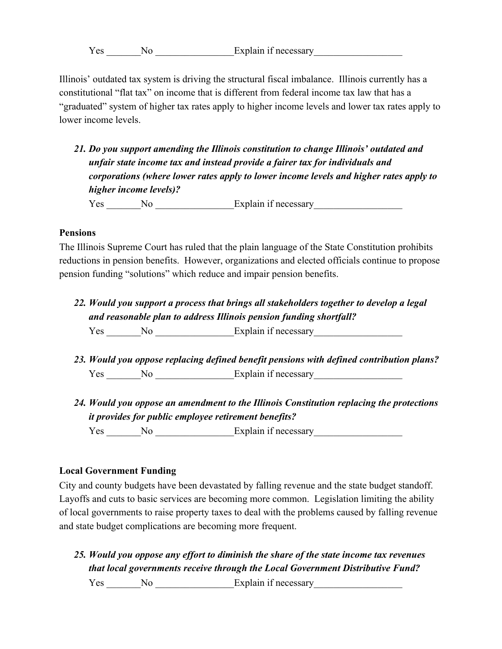Yes No Explain if necessary

Illinois' outdated tax system is driving the structural fiscal imbalance. Illinois currently has a constitutional "flat tax" on income that is different from federal income tax law that has a "graduated" system of higher tax rates apply to higher income levels and lower tax rates apply to lower income levels.

*21. Do you support amending the Illinois constitution to change Illinois' outdated and unfair state income tax and instead provide a fairer tax for individuals and corporations (where lower rates apply to lower income levels and higher rates apply to higher income levels)?*

Yes \_\_\_\_\_\_No \_\_\_\_\_\_\_\_\_\_\_\_\_\_\_\_Explain if necessary\_\_\_\_\_\_\_\_\_\_\_\_\_\_\_\_\_\_\_\_\_\_\_\_\_\_\_\_\_\_\_

# **Pensions**

The Illinois Supreme Court has ruled that the plain language of the State Constitution prohibits reductions in pension benefits. However, organizations and elected officials continue to propose pension funding "solutions" which reduce and impair pension benefits.

*22. Would you support a process that brings all stakeholders together to develop a legal and reasonable plan to address Illinois pension funding shortfall?*

Yes No Explain if necessary

- *23. Would you oppose replacing defined benefit pensions with defined contribution plans?* Yes No Explain if necessary
- *24. Would you oppose an amendment to the Illinois Constitution replacing the protections it provides for public employee retirement benefits?*

Yes No Explain if necessary

# **Local Government Funding**

City and county budgets have been devastated by falling revenue and the state budget standoff. Layoffs and cuts to basic services are becoming more common. Legislation limiting the ability of local governments to raise property taxes to deal with the problems caused by falling revenue and state budget complications are becoming more frequent.

*25. Would you oppose any effort to diminish the share of the state income tax revenues that local governments receive through the Local Government Distributive Fund?*

Yes \_\_\_\_\_\_No \_\_\_\_\_\_\_\_\_\_\_\_\_\_\_\_\_Explain if necessary\_\_\_\_\_\_\_\_\_\_\_\_\_\_\_\_\_\_\_\_\_\_\_\_\_\_\_\_\_\_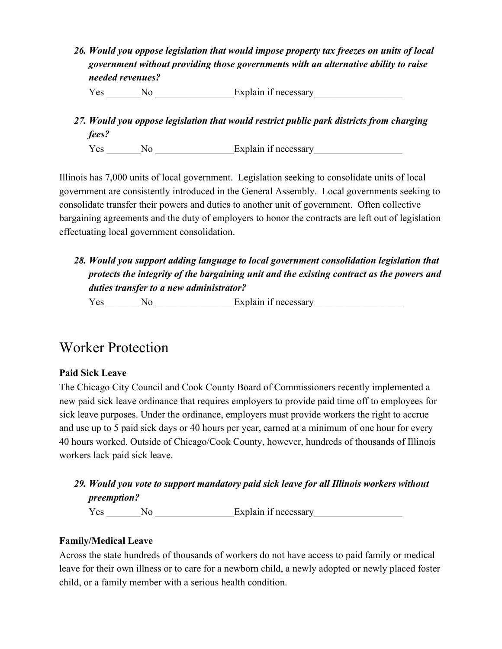*26. Would you oppose legislation that would impose property tax freezes on units of local government without providing those governments with an alternative ability to raise needed revenues?*

Yes No Explain if necessary

*27. Would you oppose legislation that would restrict public park districts from charging fees?*

Yes \_\_\_\_\_\_\_No \_\_\_\_\_\_\_\_\_\_\_\_\_\_\_\_Explain if necessary\_\_\_\_\_\_\_\_\_\_\_\_\_\_\_\_\_\_

Illinois has 7,000 units of local government. Legislation seeking to consolidate units of local government are consistently introduced in the General Assembly. Local governments seeking to consolidate transfer their powers and duties to another unit of government. Often collective bargaining agreements and the duty of employers to honor the contracts are left out of legislation effectuating local government consolidation.

# *28. Would you support adding language to local government consolidation legislation that protects the integrity of the bargaining unit and the existing contract as the powers and duties transfer to a new administrator?*

Yes \_\_\_\_\_\_No \_\_\_\_\_\_\_\_\_\_\_\_\_\_\_Explain if necessary\_\_\_\_\_\_\_\_\_\_\_\_\_\_\_\_\_\_\_\_\_\_\_\_\_\_\_\_\_\_\_\_

# Worker Protection

# **Paid Sick Leave**

The Chicago City Council and Cook County Board of Commissioners recently implemented a new paid sick leave ordinance that requires employers to provide paid time off to employees for sick leave purposes. Under the ordinance, employers must provide workers the right to accrue and use up to 5 paid sick days or 40 hours per year, earned at a minimum of one hour for every 40 hours worked. Outside of Chicago/Cook County, however, hundreds of thousands of Illinois workers lack paid sick leave.

*29. Would you vote to support mandatory paid sick leave for all Illinois workers without preemption?*

Yes \_\_\_\_\_\_\_No \_\_\_\_\_\_\_\_\_\_\_\_\_\_\_\_Explain if necessary\_\_\_\_\_\_\_\_\_\_\_\_\_\_\_\_\_\_

# **Family/Medical Leave**

Across the state hundreds of thousands of workers do not have access to paid family or medical leave for their own illness or to care for a newborn child, a newly adopted or newly placed foster child, or a family member with a serious health condition.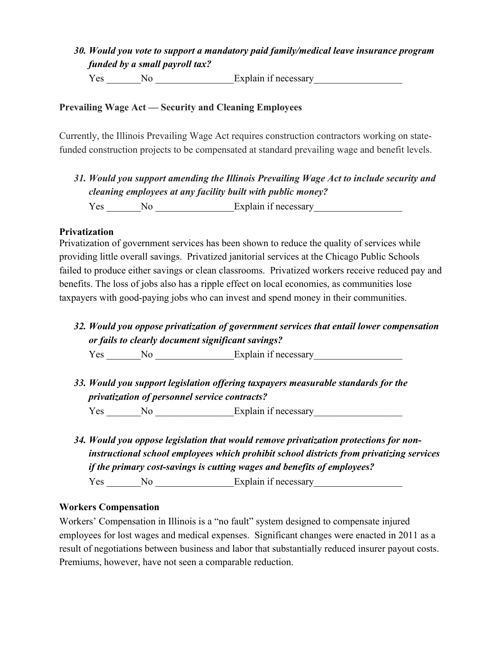# *30. Would you vote to support a mandatory paid family/medical leave insurance program funded by a small payroll tax?*

Yes No Explain if necessary

# **Prevailing Wage Act — Security and Cleaning Employees**

Currently, the Illinois Prevailing Wage Act requires construction contractors working on statefunded construction projects to be compensated at standard prevailing wage and benefit levels.

*31. Would you support amending the Illinois Prevailing Wage Act to include security and cleaning employees at any facility built with public money?* Yes No Explain if necessary

## **Privatization**

Privatization of government services has been shown to reduce the quality of services while providing little overall savings. Privatized janitorial services at the Chicago Public Schools failed to produce either savings or clean classrooms. Privatized workers receive reduced pay and benefits. The loss of jobs also has a ripple effect on local economies, as communities lose taxpayers with good-paying jobs who can invest and spend money in their communities.

*32. Would you oppose privatization of government services that entail lower compensation or fails to clearly document significant savings?*

Yes \_\_\_\_\_\_\_No \_\_\_\_\_\_\_\_\_\_\_\_\_\_\_\_Explain if necessary\_\_\_\_\_\_\_\_\_\_\_\_\_\_\_\_\_\_

- *33. Would you support legislation offering taxpayers measurable standards for the privatization of personnel service contracts?* Yes No Explain if necessary
- *34. Would you oppose legislation that would remove privatization protections for noninstructional school employees which prohibit school districts from privatizing services if the primary cost-savings is cutting wages and benefits of employees?*

Yes No Explain if necessary

## **Workers Compensation**

Workers' Compensation in Illinois is a "no fault" system designed to compensate injured employees for lost wages and medical expenses. Significant changes were enacted in 2011 as a result of negotiations between business and labor that substantially reduced insurer payout costs. Premiums, however, have not seen a comparable reduction.